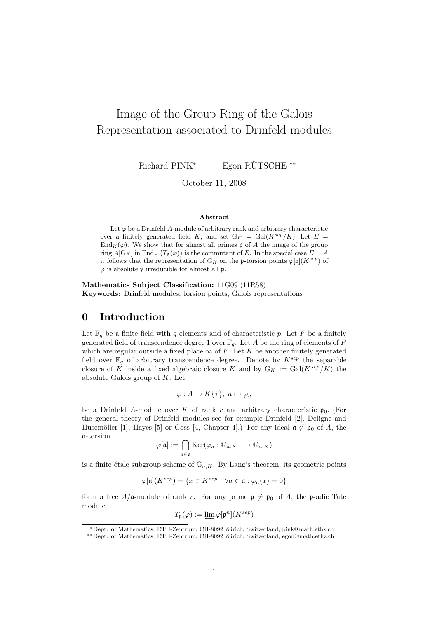# Image of the Group Ring of the Galois Representation associated to Drinfeld modules

Richard PINK<sup>\*</sup> Egon RÜTSCHE<sup>\*\*</sup>

October 11, 2008

#### Abstract

Let  $\varphi$  be a Drinfeld A-module of arbitrary rank and arbitrary characteristic over a finitely generated field K, and set  $G_K = Gal(K^{sep}/K)$ . Let  $E =$  $\text{End}_K(\varphi)$ . We show that for almost all primes p of A the image of the group ring  $A[G_K]$  in End<sub>A</sub>  $(T_p(\varphi))$  is the commutant of E. In the special case  $E = A$ it follows that the representation of  $G_K$  on the p-torsion points  $\varphi[\mathfrak{p}](K^{sep})$  of  $\varphi$  is absolutely irreducible for almost all  $\mathfrak{p}$ .

Mathematics Subject Classification: 11G09 (11R58) Keywords: Drinfeld modules, torsion points, Galois representations

# 0 Introduction

Let  $\mathbb{F}_q$  be a finite field with q elements and of characteristic p. Let F be a finitely generated field of transcendence degree 1 over  $\mathbb{F}_q$ . Let A be the ring of elements of F which are regular outside a fixed place  $\infty$  of F. Let K be another finitely generated field over  $\mathbb{F}_q$  of arbitrary transcendence degree. Denote by  $K^{sep}$  the separable closure of K inside a fixed algebraic closure  $\bar{K}$  and by  $G_K := \text{Gal}(K^{sep}/K)$  the absolute Galois group of  $K$ . Let

$$
\varphi: A \to K\{\tau\}, \ a \mapsto \varphi_a
$$

be a Drinfeld A-module over K of rank r and arbitrary characteristic  $\mathfrak{p}_0$ . (For the general theory of Drinfeld modules see for example Drinfeld [2], Deligne and Husemöller [1], Hayes [5] or Goss [4, Chapter 4].) For any ideal  $\mathfrak{a} \not\subset \mathfrak{p}_0$  of A, the a-torsion

$$
\varphi[\mathfrak{a}]:=\bigcap_{a\in\mathfrak{a}}\mathrm{Ker}(\varphi_a:\mathbb{G}_{a,K}\longrightarrow\mathbb{G}_{a,K})
$$

is a finite étale subgroup scheme of  $\mathbb{G}_{a,K}$ . By Lang's theorem, its geometric points

$$
\varphi[\mathfrak{a}](K^{sep})=\{x\in K^{sep}\ |\ \forall a\in \mathfrak{a}:\varphi_a(x)=0\}
$$

form a free  $A/\mathfrak{a}$ -module of rank r. For any prime  $\mathfrak{p} \neq \mathfrak{p}_0$  of A, the p-adic Tate module

$$
T_{\mathfrak{p}}(\varphi):=\varprojlim \varphi[\mathfrak{p}^n](K^{sep})
$$

<sup>∗</sup>Dept. of Mathematics, ETH-Zentrum, CH-8092 Z¨urich, Switzerland, pink@math.ethz.ch

<sup>∗∗</sup>Dept. of Mathematics, ETH-Zentrum, CH-8092 Z¨urich, Switzerland, egon@math.ethz.ch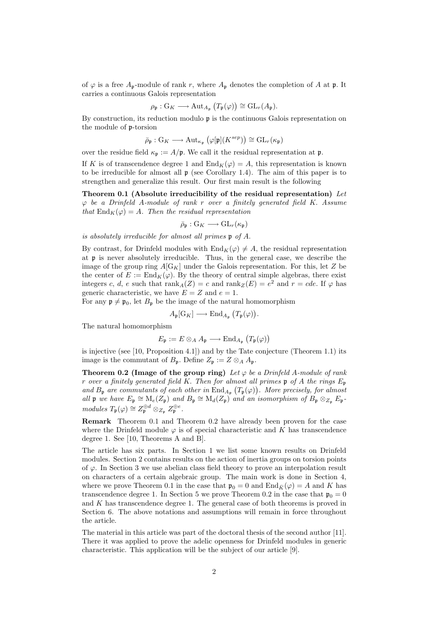of  $\varphi$  is a free  $A_p$ -module of rank r, where  $A_p$  denotes the completion of A at p. It carries a continuous Galois representation

$$
\rho_{\mathfrak{p}}: G_K \longrightarrow \mathrm{Aut}_{A_{\mathfrak{p}}}\left(T_{\mathfrak{p}}(\varphi)\right) \cong \mathrm{GL}_r(A_{\mathfrak{p}}).
$$

By construction, its reduction modulo  $\mathfrak p$  is the continuous Galois representation on the module of p-torsion

$$
\bar{\rho}_{\mathfrak{p}}: \mathrm{G}_K \longrightarrow \mathrm{Aut}_{\kappa_{\mathfrak{p}}}\left(\varphi[\mathfrak{p}](K^{sep})\right) \cong \mathrm{GL}_r(\kappa_{\mathfrak{p}})
$$

over the residue field  $\kappa_{\mathfrak{p}} := A/\mathfrak{p}$ . We call it the residual representation at  $\mathfrak{p}$ .

If K is of transcendence degree 1 and  $\text{End}_K(\varphi) = A$ , this representation is known to be irreducible for almost all  $\mathfrak p$  (see Corollary 1.4). The aim of this paper is to strengthen and generalize this result. Our first main result is the following

Theorem 0.1 (Absolute irreducibility of the residual representation) Let  $\varphi$  be a Drinfeld A-module of rank r over a finitely generated field K. Assume that  $\text{End}_K(\varphi) = A$ . Then the residual representation

 $\bar{\rho}_{\mathfrak{p}}: \mathrm{G}_K \longrightarrow \mathrm{GL}_r(\kappa_{\mathfrak{p}})$ 

is absolutely irreducible for almost all primes p of A.

By contrast, for Drinfeld modules with  $\text{End}_K(\varphi) \neq A$ , the residual representation at p is never absolutely irreducible. Thus, in the general case, we describe the image of the group ring  $A[G_K]$  under the Galois representation. For this, let Z be the center of  $E := \text{End}_K(\varphi)$ . By the theory of central simple algebras, there exist integers c, d, e such that  $\text{rank}_A(Z) = c$  and  $\text{rank}_Z(E) = e^2$  and  $r = cde$ . If  $\varphi$  has generic characteristic, we have  $E = Z$  and  $e = 1$ .

For any  $\mathfrak{p} \neq \mathfrak{p}_0$ , let  $B_{\mathfrak{p}}$  be the image of the natural homomorphism

$$
A_{\mathfrak{p}}[G_K] \longrightarrow \text{End}_{A_{\mathfrak{p}}}(T_{\mathfrak{p}}(\varphi)).
$$

The natural homomorphism

$$
E_{\mathfrak{p}} := E \otimes_A A_{\mathfrak{p}} \longrightarrow \text{End}_{A_{\mathfrak{p}}}\left(T_{\mathfrak{p}}(\varphi)\right)
$$

is injective (see [10, Proposition 4.1]) and by the Tate conjecture (Theorem 1.1) its image is the commutant of  $B_{\mathfrak{p}}$ . Define  $Z_{\mathfrak{p}} := Z \otimes_A A_{\mathfrak{p}}$ .

Theorem 0.2 (Image of the group ring) Let  $\varphi$  be a Drinfeld A-module of rank r over a finitely generated field K. Then for almost all primes  $\mathfrak p$  of A the rings  $E_{\mathfrak p}$ and  $B_{\mathfrak{p}}$  are commutants of each other in  $\text{End}_{A_{\mathfrak{p}}}(T_{\mathfrak{p}}(\varphi))$ . More precisely, for almost all p we have  $E_p \cong M_e(Z_p)$  and  $B_p \cong M_d(Z_p)$  and an isomorphism of  $B_p \otimes_{Z_p} E_p$  $modules T_{\mathfrak{p}}(\varphi) \cong Z_{\mathfrak{p}}^{\oplus d} \otimes_{Z_{\mathfrak{p}}} Z_{\mathfrak{p}}^{\oplus e}.$ 

Remark Theorem 0.1 and Theorem 0.2 have already been proven for the case where the Drinfeld module  $\varphi$  is of special characteristic and K has transcendence degree 1. See [10, Theorems A and B].

The article has six parts. In Section 1 we list some known results on Drinfeld modules. Section 2 contains results on the action of inertia groups on torsion points of  $\varphi$ . In Section 3 we use abelian class field theory to prove an interpolation result on characters of a certain algebraic group. The main work is done in Section 4, where we prove Theorem 0.1 in the case that  $\mathfrak{p}_0 = 0$  and  $\text{End}_{\bar{K}}(\varphi) = A$  and K has transcendence degree 1. In Section 5 we prove Theorem 0.2 in the case that  $\mathfrak{p}_0 = 0$ and  $K$  has transcendence degree 1. The general case of both theorems is proved in Section 6. The above notations and assumptions will remain in force throughout the article.

The material in this article was part of the doctoral thesis of the second author [11]. There it was applied to prove the adelic openness for Drinfeld modules in generic characteristic. This application will be the subject of our article [9].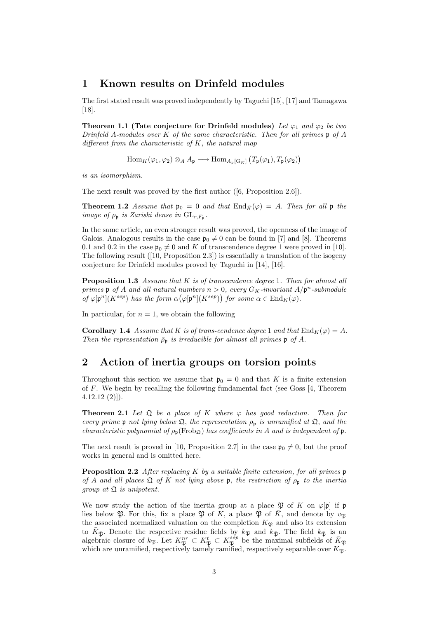# 1 Known results on Drinfeld modules

The first stated result was proved independently by Taguchi [15], [17] and Tamagawa [18].

Theorem 1.1 (Tate conjecture for Drinfeld modules) Let  $\varphi_1$  and  $\varphi_2$  be two Drinfeld A-modules over K of the same characteristic. Then for all primes  $\mathfrak p$  of A different from the characteristic of  $K$ , the natural map

 $\text{Hom}_K(\varphi_1, \varphi_2) \otimes_A A_{\mathfrak{p}} \longrightarrow \text{Hom}_{A_{\mathfrak{p}}[G_K]} (T_{\mathfrak{p}}(\varphi_1), T_{\mathfrak{p}}(\varphi_2))$ 

is an isomorphism.

The next result was proved by the first author ([6, Proposition 2.6]).

**Theorem 1.2** Assume that  $\mathfrak{p}_0 = 0$  and that  $\text{End}_{\bar{K}}(\varphi) = A$ . Then for all  $\mathfrak{p}$  the image of  $\rho_{\rm p}$  is Zariski dense in  $\operatorname{GL}_{r,F_{\rm p}}$ .

In the same article, an even stronger result was proved, the openness of the image of Galois. Analogous results in the case  $\mathfrak{p}_0 \neq 0$  can be found in [7] and [8]. Theorems 0.1 and 0.2 in the case  $\mathfrak{p}_0 \neq 0$  and K of transcendence degree 1 were proved in [10]. The following result ([10, Proposition 2.3]) is essentially a translation of the isogeny conjecture for Drinfeld modules proved by Taguchi in [14], [16].

**Proposition 1.3** Assume that  $K$  is of transcendence degree 1. Then for almost all primes  $\mathfrak p$  of A and all natural numbers  $n > 0$ , every  $G_K$ -invariant  $A/\mathfrak p^n$ -submodule of  $\varphi[\mathfrak{p}^n](K^{sep})$  has the form  $\alpha(\varphi[\mathfrak{p}^n](K^{sep}))$  for some  $\alpha \in \text{End}_K(\varphi)$ .

In particular, for  $n = 1$ , we obtain the following

**Corollary 1.4** Assume that K is of trans-cendence degree 1 and that  $\text{End}_K(\varphi) = A$ . Then the representation  $\bar{\rho}_{\bf p}$  is irreducible for almost all primes  ${\bf p}$  of A.

## 2 Action of inertia groups on torsion points

Throughout this section we assume that  $\mathfrak{p}_0 = 0$  and that K is a finite extension of F. We begin by recalling the following fundamental fact (see Goss [4, Theorem  $4.12.12(2)]$ .

**Theorem 2.1** Let  $\mathfrak{Q}$  be a place of K where  $\varphi$  has good reduction. Then for every prime p not lying below  $\mathfrak{Q}$ , the representation  $\rho_{p}$  is unramified at  $\mathfrak{Q}$ , and the characteristic polynomial of  $\rho_{p}(\text{Frob}_{\Omega})$  has coefficients in A and is independent of p.

The next result is proved in [10, Proposition 2.7] in the case  $\mathfrak{p}_0 \neq 0$ , but the proof works in general and is omitted here.

**Proposition 2.2** After replacing K by a suitable finite extension, for all primes  $\mathfrak p$ of A and all places  $\mathfrak Q$  of K not lying above p, the restriction of  $\rho_{\mathfrak p}$  to the inertia group at  $\mathfrak{Q}$  is unipotent.

We now study the action of the inertia group at a place  $\mathfrak P$  of K on  $\varphi[\mathfrak p]$  if  $\mathfrak p$ lies below  $\mathfrak{P}$ . For this, fix a place  $\mathfrak{P}$  of K, a place  $\bar{\mathfrak{P}}$  of  $\bar{K}$ , and denote by  $v_{\mathfrak{P}}$ the associated normalized valuation on the completion  $K_{\mathfrak{P}}$  and also its extension to  $\bar{K}_{\bar{\mathfrak{P}}}$ . Denote the respective residue fields by  $k_{\mathfrak{P}}$  and  $k_{\bar{\mathfrak{P}}}$ . The field  $k_{\bar{\mathfrak{P}}}$  is an algebraic closure of  $k_{\mathfrak{P}}$ . Let  $K_{\mathfrak{P}}^{nr} \subset K_{\mathfrak{P}}^t \subset K_{\mathfrak{P}}^{sep}$  be the maximal subfields of  $\overline{K}_{\overline{\mathfrak{P}}}$ which are unramified, respectively tamely ramified, respectively separable over  $K_{\mathfrak{P}}$ .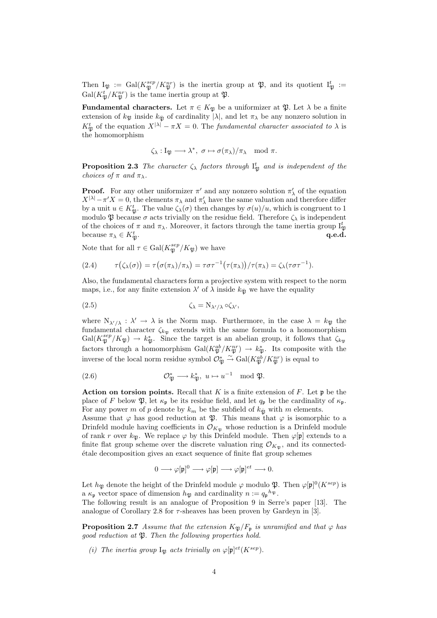Then  $I_{\mathfrak{P}} := \text{Gal}(K_{\mathfrak{P}}^{sep}/K_{\mathfrak{P}}^{nr})$  is the inertia group at  $\mathfrak{P}$ , and its quotient  $I_{\mathfrak{P}}^{t} :=$  $Gal(K_{\mathfrak{P}}^t/K_{\mathfrak{P}}^{nr})$  is the tame inertia group at  $\mathfrak{P}$ .

**Fundamental characters.** Let  $\pi \in K_{\mathfrak{P}}$  be a uniformizer at  $\mathfrak{P}$ . Let  $\lambda$  be a finite extension of  $k_{\mathfrak{B}}$  inside  $k_{\mathfrak{B}}$  of cardinality  $|\lambda|$ , and let  $\pi_{\lambda}$  be any nonzero solution in  $K_{\mathfrak{P}}^t$  of the equation  $X^{|\lambda|} - \pi X = 0$ . The fundamental character associated to  $\lambda$  is the homomorphism

$$
\zeta_{\lambda} : I_{\mathfrak{P}} \longrightarrow \lambda^*, \ \sigma \mapsto \sigma(\pi_{\lambda})/\pi_{\lambda} \mod \pi.
$$

**Proposition 2.3** The character  $\zeta_{\lambda}$  factors through  $I_{\mathfrak{P}}^{t}$  and is independent of the choices of  $\pi$  and  $\pi_{\lambda}$ .

**Proof.** For any other uniformizer  $\pi'$  and any nonzero solution  $\pi'_{\lambda}$  of the equation  $X^{|\lambda|} - \pi' X = 0$ , the elements  $\pi_{\lambda}$  and  $\pi'_{\lambda}$  have the same valuation and therefore differ by a unit  $u \in K^t_{\mathfrak{P}}$ . The value  $\zeta_\lambda(\sigma)$  then changes by  $\sigma(u)/u$ , which is congruent to 1 modulo  $\mathfrak P$  because  $\sigma$  acts trivially on the residue field. Therefore  $\zeta_\lambda$  is independent of the choices of  $\pi$  and  $\pi_{\lambda}$ . Moreover, it factors through the tame inertia group  $I_{\mathfrak{P}}^t$ because  $\pi_{\lambda} \in K_{\mathfrak{B}}^{t}$ .  $\mathfrak{P} \cdot \mathfrak{P} \cdot \mathfrak{P} \cdot \mathfrak{P} \cdot \mathfrak{P} \cdot \mathfrak{P} \cdot \mathfrak{P} \cdot \mathfrak{P} \cdot \mathfrak{P} \cdot \mathfrak{P} \cdot \mathfrak{P} \cdot \mathfrak{P} \cdot \mathfrak{P} \cdot \mathfrak{P} \cdot \mathfrak{P} \cdot \mathfrak{P} \cdot \mathfrak{P} \cdot \mathfrak{P} \cdot \mathfrak{P} \cdot \mathfrak{P} \cdot \mathfrak{P} \cdot \mathfrak{P} \cdot \mathfrak{P} \cdot \mathfrak{P} \cdot \mathfrak$ 

Note that for all  $\tau \in \text{Gal}(K^{sep}_{\mathfrak{P}}/K_{\mathfrak{P}})$  we have

(2.4) 
$$
\tau(\zeta_\lambda(\sigma)) = \tau(\sigma(\pi_\lambda)/\pi_\lambda) = \tau \sigma \tau^{-1}(\tau(\pi_\lambda))/\tau(\pi_\lambda) = \zeta_\lambda(\tau \sigma \tau^{-1}).
$$

Also, the fundamental characters form a projective system with respect to the norm maps, i.e., for any finite extension  $\lambda'$  of  $\lambda$  inside  $k_{\overline{p}}$  we have the equality

$$
\zeta_{\lambda} = N_{\lambda'/\lambda} \circ \zeta_{\lambda'},
$$

where  $N_{\lambda'/\lambda} : \lambda' \to \lambda$  is the Norm map. Furthermore, in the case  $\lambda = k_{\mathfrak{P}}$  the fundamental character  $\zeta_{k_{\mathfrak{P}}}$  extends with the same formula to a homomorphism  $Gal(K_{\mathfrak{P}}^{sep}/K_{\mathfrak{P}}) \to k_{\mathfrak{P}}^*$ . Since the target is an abelian group, it follows that  $\zeta_{k_{\mathfrak{P}}}$ factors through a homomorphism  $Gal(K_{\mathfrak{P}}^{ab}/K_{\mathfrak{P}}^{nr}) \to k_{\mathfrak{P}}^{*}$ . Its composite with the inverse of the local norm residue symbol  $\mathcal{O}_{\mathfrak{P}}^* \stackrel{\sim}{\to} \text{Gal}(K^{ab}_{\mathfrak{P}}/K^{nr}_{\mathfrak{P}})$  is equal to

(2.6) 
$$
\mathcal{O}_{\mathfrak{P}}^* \longrightarrow k_{\mathfrak{P}}^*, \ u \mapsto u^{-1} \mod \mathfrak{P}.
$$

**Action on torsion points.** Recall that K is a finite extension of F. Let  $\mathfrak{p}$  be the place of F below  $\mathfrak{P}$ , let  $\kappa_{p}$  be its residue field, and let  $q_{p}$  be the cardinality of  $\kappa_{p}$ . For any power m of p denote by  $k_m$  be the subfield of  $k_{\overline{p}}$  with m elements.

Assume that  $\varphi$  has good reduction at  $\mathfrak{P}$ . This means that  $\varphi$  is isomorphic to a Drinfeld module having coefficients in  $\mathcal{O}_{K_{\mathfrak{P}}}$  whose reduction is a Drinfeld module of rank r over  $k_{\mathfrak{B}}$ . We replace  $\varphi$  by this Drinfeld module. Then  $\varphi[\mathfrak{p}]$  extends to a finite flat group scheme over the discrete valuation ring  $\mathcal{O}_{K_{\mathfrak{B}}}$ , and its connected-´etale decomposition gives an exact sequence of finite flat group schemes

$$
0\longrightarrow \varphi[\mathfrak{p}]^0\longrightarrow \varphi[\mathfrak{p}]\longrightarrow \varphi[\mathfrak{p}]^{et}\longrightarrow 0.
$$

Let  $h_{\mathfrak{P}}$  denote the height of the Drinfeld module  $\varphi$  modulo  $\mathfrak{P}$ . Then  $\varphi[\mathfrak{p}]^0(K^{sep})$  is a  $\kappa_{\mathfrak{p}}$  vector space of dimension  $h_{\mathfrak{P}}$  and cardinality  $n := q_{\mathfrak{p}}^{h_{\mathfrak{P}}}$ .

The following result is an analogue of Proposition 9 in Serre's paper [13]. The analogue of Corollary 2.8 for  $\tau$ -sheaves has been proven by Gardeyn in [3].

**Proposition 2.7** Assume that the extension  $K_{\mathfrak{P}}/F_{\mathfrak{p}}$  is unramified and that  $\varphi$  has good reduction at  $\mathfrak{P}$ . Then the following properties hold.

(i) The inertia group  $I_{\mathfrak{P}}$  acts trivially on  $\varphi[\mathfrak{p}]^{et}(K^{sep})$ .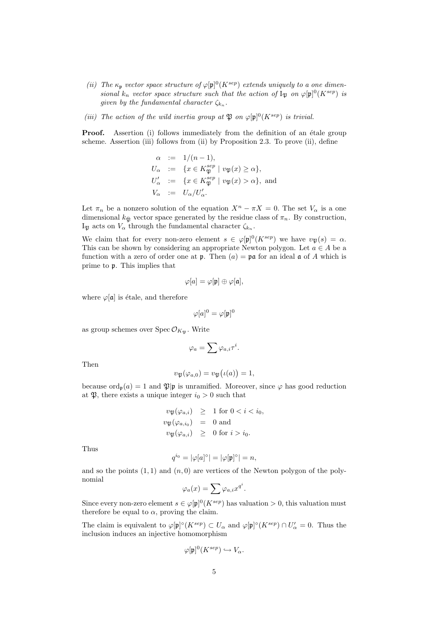- (ii) The  $\kappa_{\mathfrak{p}}$  vector space structure of  $\varphi[\mathfrak{p}]^0(K^{sep})$  extends uniquely to a one dimensional  $k_n$  vector space structure such that the action of  $I_{\mathfrak{P}}$  on  $\varphi[\mathfrak{p}]^0(K^{sep})$  is given by the fundamental character  $\zeta_{k_n}$ .
- (iii) The action of the wild inertia group at  $\mathfrak P$  on  $\varphi[\mathfrak p]^0(K^{sep})$  is trivial.

**Proof.** Assertion (i) follows immediately from the definition of an étale group scheme. Assertion (iii) follows from (ii) by Proposition 2.3. To prove (ii), define

$$
\alpha := 1/(n-1),
$$
  
\n
$$
U_{\alpha} := \{ x \in K_{\mathfrak{P}}^{sep} \mid v_{\mathfrak{P}}(x) \ge \alpha \},
$$
  
\n
$$
U'_{\alpha} := \{ x \in K_{\mathfrak{P}}^{sep} \mid v_{\mathfrak{P}}(x) > \alpha \},
$$
 and  
\n
$$
V_{\alpha} := U_{\alpha}/U'_{\alpha}.
$$

Let  $\pi_n$  be a nonzero solution of the equation  $X^n - \pi X = 0$ . The set  $V_\alpha$  is a one dimensional  $k_{\bar{\mathfrak{B}}}$  vector space generated by the residue class of  $\pi_n$ . By construction, I<sub>P</sub> acts on  $V_{\alpha}$  through the fundamental character  $\zeta_{k_n}$ .

We claim that for every non-zero element  $s \in \varphi[\mathfrak{p}]^0(K^{sep})$  we have  $v_{\mathfrak{P}}(s) = \alpha$ . This can be shown by considering an appropriate Newton polygon. Let  $a \in A$  be a function with a zero of order one at  $\mathfrak{p}$ . Then  $(a) = \mathfrak{pa}$  for an ideal  $\mathfrak{a}$  of A which is prime to p. This implies that

$$
\varphi[a]=\varphi[\mathfrak{p}]\oplus\varphi[\mathfrak{a}],
$$

where  $\varphi[\mathfrak{a}]$  is étale, and therefore

$$
\varphi[a]^0=\varphi[\mathfrak{p}]^0
$$

as group schemes over  $Spec\,\mathcal{O}_{K_{\mathfrak{B}}}$ . Write

$$
\varphi_a=\sum \varphi_{a,i}\tau^i.
$$

Then

$$
v_{\mathfrak{P}}(\varphi_{a,0})=v_{\mathfrak{P}}(\iota(a))=1,
$$

because  $\text{ord}_{\mathfrak{p}}(a) = 1$  and  $\mathfrak{P}|\mathfrak{p}$  is unramified. Moreover, since  $\varphi$  has good reduction at  $\mathfrak{P}$ , there exists a unique integer  $i_0 > 0$  such that

$$
v_{\mathfrak{P}}(\varphi_{a,i}) \geq 1 \text{ for } 0 < i < i_0,
$$
  

$$
v_{\mathfrak{P}}(\varphi_{a,i_0}) = 0 \text{ and}
$$
  

$$
v_{\mathfrak{P}}(\varphi_{a,i}) \geq 0 \text{ for } i > i_0.
$$

Thus

$$
q^{i_0} = |\varphi[a]^\circ| = |\varphi[\mathfrak{p}]^\circ| = n,
$$

and so the points  $(1, 1)$  and  $(n, 0)$  are vertices of the Newton polygon of the polynomial

$$
\varphi_a(x) = \sum \varphi_{a,i} x^{q^i}.
$$

Since every non-zero element  $s \in \varphi[\mathfrak{p}]^0(K^{sep})$  has valuation  $> 0$ , this valuation must therefore be equal to  $\alpha$ , proving the claim.

The claim is equivalent to  $\varphi[\mathfrak{p}]^{\circ}(K^{sep}) \subset U_{\alpha}$  and  $\varphi[\mathfrak{p}]^{\circ}(K^{sep}) \cap U_{\alpha}' = 0$ . Thus the inclusion induces an injective homomorphism

$$
\varphi[\mathfrak{p}]^0(K^{sep}) \hookrightarrow V_\alpha.
$$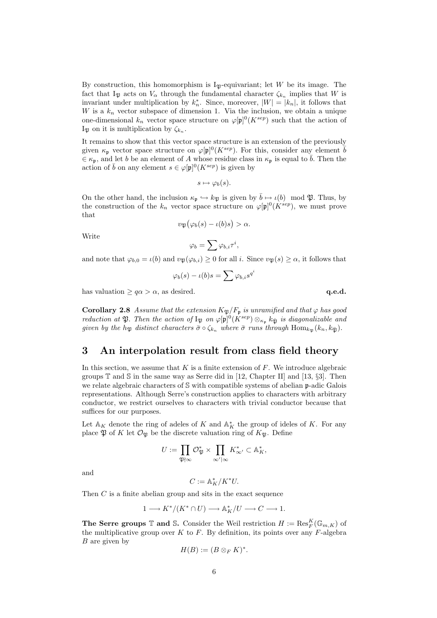By construction, this homomorphism is  $I_{\mathfrak{P}}$ -equivariant; let W be its image. The fact that  $I_{\mathfrak{P}}$  acts on  $V_{\alpha}$  through the fundamental character  $\zeta_{k_n}$  implies that W is invariant under multiplication by  $k_n^*$ . Since, moreover,  $|W| = |k_n|$ , it follows that W is a  $k_n$  vector subspace of dimension 1. Via the inclusion, we obtain a unique one-dimensional  $k_n$  vector space structure on  $\varphi[\mathfrak{p}]^0(K^{sep})$  such that the action of I<sub>P</sub> on it is multiplication by  $\zeta_{k_n}$ .

It remains to show that this vector space structure is an extension of the previously given  $\kappa_{\mathfrak{p}}$  vector space structure on  $\varphi[\mathfrak{p}]^0(K^{sep})$ . For this, consider any element  $\bar{b}$  $\epsilon \in \kappa_p$ , and let b be an element of A whose residue class in  $\kappa_p$  is equal to  $\bar{b}$ . Then the action of  $\bar{b}$  on any element  $s \in \varphi[\mathfrak{p}]^0(K^{sep})$  is given by

$$
s \mapsto \varphi_b(s).
$$

On the other hand, the inclusion  $\kappa_{\mathfrak{p}} \hookrightarrow k_{\mathfrak{P}}$  is given by  $\bar{b} \mapsto \iota(b) \mod \mathfrak{P}$ . Thus, by the construction of the  $k_n$  vector space structure on  $\varphi[\mathfrak{p}]^0(K^{sep})$ , we must prove that

$$
v_{\mathfrak{P}}(\varphi_b(s) - \iota(b)s) > \alpha.
$$

Write

$$
\varphi_b = \sum \varphi_{b,i} \tau^i,
$$

and note that  $\varphi_{b,0} = \iota(b)$  and  $v_{\mathfrak{P}}(\varphi_{b,i}) \geq 0$  for all i. Since  $v_{\mathfrak{P}}(s) \geq \alpha$ , it follows that

$$
\varphi_b(s) - \iota(b)s = \sum \varphi_{b,i} s^{q^i}
$$

has valuation  $\geq q\alpha > \alpha$ , as desired. q.e.d.

**Corollary 2.8** Assume that the extension  $K_{\mathfrak{P}}/F_{\mathfrak{p}}$  is unramified and that  $\varphi$  has good reduction at  $\mathfrak{P}$ . Then the action of  $I_{\mathfrak{P}}$  on  $\varphi[\mathfrak{p}]^0(K^{sep})\otimes_{\kappa_{\mathfrak{p}}}k_{\bar{\mathfrak{P}}}$  is diagonalizable and given by the h<sub>Pp</sub> distinct characters  $\bar{\sigma} \circ \zeta_{k_n}$  where  $\bar{\sigma}$  runs through  $\text{Hom}_{k_{\text{PR}}}(k_n, k_{\bar{\text{PR}}})$ .

# 3 An interpolation result from class field theory

In this section, we assume that  $K$  is a finite extension of  $F$ . We introduce algebraic groups  $\mathbb T$  and  $\mathbb S$  in the same way as Serre did in [12, Chapter II] and [13, §3]. Then we relate algebraic characters of S with compatible systems of abelian p-adic Galois representations. Although Serre's construction applies to characters with arbitrary conductor, we restrict ourselves to characters with trivial conductor because that suffices for our purposes.

Let  $\mathbb{A}_K$  denote the ring of adeles of K and  $\mathbb{A}_K^*$  the group of ideles of K. For any place  $\mathfrak P$  of K let  $\mathcal O_{\mathfrak P}$  be the discrete valuation ring of  $K_{\mathfrak P}$ . Define

$$
U:=\prod_{{\mathfrak{P}}\nmid \infty}{\mathcal O}_{\mathfrak{P}}^*\times\prod_{\infty'|\infty}K_{\infty'}^*\subset{\mathbb A}_K^*,
$$

and

$$
C:=\mathbb{A}_K^*/K^*U.
$$

Then C is a finite abelian group and sits in the exact sequence

$$
1 \longrightarrow K^*/(K^* \cap U) \longrightarrow \mathbb{A}^*_K/U \longrightarrow C \longrightarrow 1.
$$

**The Serre groups**  $\mathbb{T}$  and S. Consider the Weil restriction  $H := \text{Res}_{F}^{K}(\mathbb{G}_{m,K})$  of the multiplicative group over  $K$  to  $F$ . By definition, its points over any  $F$ -algebra  $B$  are given by

$$
H(B) := (B \otimes_F K)^*.
$$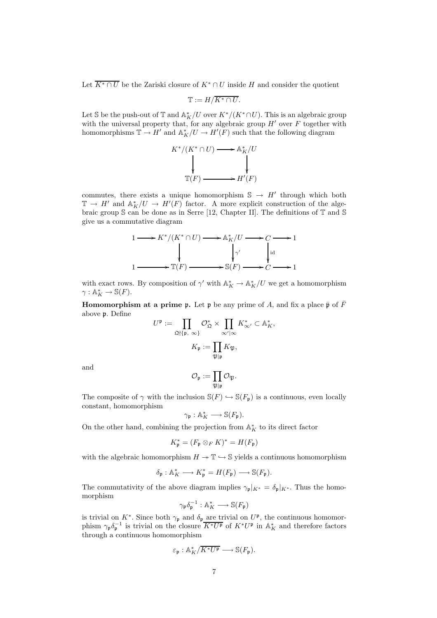Let  $\overline{K^* \cap U}$  be the Zariski closure of  $K^* \cap U$  inside H and consider the quotient

$$
\mathbb{T} := H/\overline{K^* \cap U}.
$$

Let S be the push-out of  $\mathbb{T}$  and  $\mathbb{A}_K^*/U$  over  $K^*/(K^*\cap U)$ . This is an algebraic group with the universal property that, for any algebraic group  $H'$  over  $F$  together with homomorphisms  $\mathbb{T} \to H'$  and  $\mathbb{A}_K^*/U \to H'(F)$  such that the following diagram



commutes, there exists a unique homomorphism  $\mathbb{S} \to H'$  through which both  $\mathbb{T} \to H'$  and  $\mathbb{A}_K^*/U \to H'(F)$  factor. A more explicit construction of the algebraic group  $\Im$  can be done as in Serre [12, Chapter II]. The definitions of  $\mathbb T$  and  $\mathbb S$ give us a commutative diagram

$$
1 \longrightarrow K^*/(K^* \cap U) \longrightarrow \mathbb{A}_K^*/U \longrightarrow C \longrightarrow 1
$$
\n
$$
\downarrow \qquad \qquad \downarrow \qquad \qquad \downarrow \qquad \qquad \downarrow \qquad \qquad \downarrow \downarrow
$$
\n
$$
1 \longrightarrow \mathbb{T}(F) \longrightarrow \mathbb{S}(F) \longrightarrow C \longrightarrow 1
$$

with exact rows. By composition of  $\gamma'$  with  $\mathbb{A}_K^* \to \mathbb{A}_K^*/U$  we get a homomorphism  $\gamma: \mathbb{A}_K^* \to \mathbb{S}(F).$ 

**Homomorphism at a prime p.** Let **p** be any prime of A, and fix a place  $\bar{\mathbf{p}}$  of  $\bar{F}$ above p. Define

$$
U^{\mathfrak{p}} := \prod_{\mathfrak{Q} \nmid \{\mathfrak{p}, \infty\}} \mathcal{O}_{\mathfrak{Q}}^* \times \prod_{\infty'|\infty} K_{\infty'}^* \subset \mathbb{A}_K^*,
$$

$$
K_{\mathfrak{p}} := \prod_{\mathfrak{P}|\mathfrak{p}} K_{\mathfrak{P}},
$$

and

$$
\mathcal{O}_{\mathfrak{p}}:=\prod_{\mathfrak{P}\mid \mathfrak{p}}\mathcal{O}_{\mathfrak{P}}.
$$

The composite of  $\gamma$  with the inclusion  $\mathbb{S}(F) \hookrightarrow \mathbb{S}(F_p)$  is a continuous, even locally constant, homomorphism

$$
\gamma_{\mathfrak{p}}: \mathbb{A}_K^* \longrightarrow \mathbb{S}(F_{\mathfrak{p}}).
$$

On the other hand, combining the projection from  $\mathbb{A}_K^*$  to its direct factor

$$
K_{\mathfrak{p}}^* = (F_{\mathfrak{p}} \otimes_F K)^* = H(F_{\mathfrak{p}})
$$

with the algebraic homomorphism  $H \to \mathbb{T} \hookrightarrow \mathbb{S}$  yields a continuous homomorphism

$$
\delta_{\mathfrak{p}}: \mathbb{A}_K^* \longrightarrow K_{\mathfrak{p}}^* = H(F_{\mathfrak{p}}) \longrightarrow \mathbb{S}(F_{\mathfrak{p}}).
$$

The commutativity of the above diagram implies  $\gamma_{\mathfrak{p}}|_{K^*} = \delta_{\mathfrak{p}}|_{K^*}$ . Thus the homomorphism

$$
\gamma_{\mathfrak{p}} \delta_{\mathfrak{p}}^{-1} : \mathbb{A}_K^* \longrightarrow \mathbb{S}(F_{\mathfrak{p}})
$$

is trivial on  $K^*$ . Since both  $\gamma_{\mathfrak{p}}$  and  $\delta_{\mathfrak{p}}$  are trivial on  $U^{\mathfrak{p}}$ , the continuous homomorphism  $\gamma_{\mathfrak{p}} \delta_{\mathfrak{p}}^{-1}$  is trivial on the closure  $\overline{K^*U^{\mathfrak{p}}}$  of  $K^*U^{\mathfrak{p}}$  in  $\mathbb{A}_K^*$  and therefore factors through a continuous homomorphism

$$
\varepsilon_{\mathfrak{p}}: {\mathbb A}^*_K/\overline{K^*U^{\mathfrak{p}}} \longrightarrow \mathbb{S}(F_{\mathfrak{p}}).
$$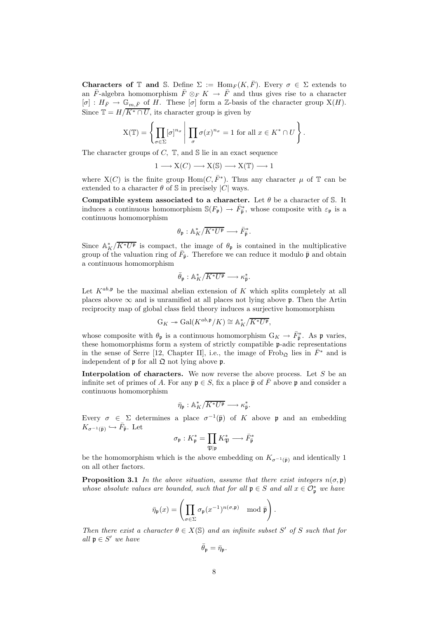Characters of T and S. Define  $\Sigma := \text{Hom}_F(K, \overline{F})$ . Every  $\sigma \in \Sigma$  extends to an  $\bar{F}$ -algebra homomorphism  $\bar{F} \otimes_F K \to \bar{F}$  and thus gives rise to a character  $[\sigma] : H_{\bar{F}} \to \mathbb{G}_{m,\bar{F}}$  of H. These  $[\sigma]$  form a Z-basis of the character group  $X(H)$ . Since  $\mathbb{T} = H/\overline{K^* \cap U}$ , its character group is given by

$$
X(\mathbb{T}) = \left\{ \prod_{\sigma \in \Sigma} [\sigma]^{n_{\sigma}} \middle| \prod_{\sigma} \sigma(x)^{n_{\sigma}} = 1 \text{ for all } x \in K^* \cap U \right\}.
$$

The character groups of  $C$ ,  $\mathbb{T}$ , and  $\mathbb{S}$  lie in an exact sequence

$$
1 \longrightarrow X(C) \longrightarrow X(\mathbb{S}) \longrightarrow X(\mathbb{T}) \longrightarrow 1
$$

where  $X(C)$  is the finite group  $Hom(C, \bar{F}^*)$ . Thus any character  $\mu$  of  $\mathbb T$  can be extended to a character  $\theta$  of S in precisely |C| ways.

Compatible system associated to a character. Let  $\theta$  be a character of S. It induces a continuous homomorphism  $\mathbb{S}(F_{\mathfrak{p}}) \to \overline{F}_{\overline{\mathfrak{p}}}^*$ , whose composite with  $\varepsilon_{\mathfrak{p}}$  is a continuous homomorphism

$$
\theta_{\mathfrak{p}}: \mathbb{A}_K^*/\overline{K^*U^{\mathfrak{p}}} \longrightarrow \bar{F}_{\overline{\mathfrak{p}}}^*.
$$

Since  $\mathbb{A}_K^*/\overline{K^*U^{\mathfrak{p}}}$  is compact, the image of  $\theta_{\mathfrak{p}}$  is contained in the multiplicative group of the valuation ring of  $\bar{F}_{\bar{p}}$ . Therefore we can reduce it modulo  $\bar{p}$  and obtain a continuous homomorphism

$$
\bar{\theta}_{\mathfrak{p}}: \mathbb{A}_K^*/\overline{K^*U^{\mathfrak{p}}} \longrightarrow \kappa_{\bar{\mathfrak{p}}}^*.
$$

Let  $K^{ab,\mathfrak{p}}$  be the maximal abelian extension of K which splits completely at all places above  $\infty$  and is unramified at all places not lying above **p**. Then the Artin reciprocity map of global class field theory induces a surjective homomorphism

$$
\mathbf{G}_K \twoheadrightarrow \mathrm{Gal}(K^{ab,\mathfrak{p}}/K) \cong \mathbb{A}_K^* / \overline{K^* U^{\mathfrak{p}}},
$$

whose composite with  $\theta_{\mathfrak{p}}$  is a continuous homomorphism  $G_K \to \bar{F}_{\bar{\mathfrak{p}}}^*$ . As  $\mathfrak{p}$  varies, these homomorphisms form a system of strictly compatible p-adic representations in the sense of Serre [12, Chapter II], i.e., the image of Frob<sub>2</sub> lies in  $\bar{F}^*$  and is independent of  $\mathfrak p$  for all  $\mathfrak Q$  not lying above  $\mathfrak p$ .

Interpolation of characters. We now reverse the above process. Let S be an infinite set of primes of A. For any  $\mathfrak{p} \in S$ , fix a place  $\bar{\mathfrak{p}}$  of  $\bar{F}$  above p and consider a continuous homomorphism

$$
\bar{\eta}_{\mathfrak{p}}: \mathbb{A}_K^*/\overline{K^*U^{\mathfrak{p}}} \longrightarrow \kappa_{\bar{\mathfrak{p}}}^*.
$$

Every  $\sigma \in \Sigma$  determines a place  $\sigma^{-1}(\bar{\mathfrak{p}})$  of K above p and an embedding  $K_{\sigma^{-1}(\bar{\mathfrak{p}})} \hookrightarrow \bar{F}_{\bar{\mathfrak{p}}}$ . Let

$$
\sigma_{\mathfrak{p}}: K_{\mathfrak{p}}^* = \prod_{\mathfrak{P} \mid \mathfrak{p}} K_{\mathfrak{P}}^* \longrightarrow \bar{F}_{\overline{\mathfrak{p}}}^*
$$

be the homomorphism which is the above embedding on  $K_{\sigma^{-1}(\bar{p})}$  and identically 1 on all other factors.

**Proposition 3.1** In the above situation, assume that there exist integers  $n(\sigma, \mathfrak{v})$ whose absolute values are bounded, such that for all  $\mathfrak{p} \in S$  and all  $x \in \mathcal{O}_{\mathfrak{p}}^*$  we have

$$
\bar{\eta}_{\mathfrak{p}}(x) = \left(\prod_{\sigma \in \Sigma} \sigma_{\mathfrak{p}}(x^{-1})^{n(\sigma, \mathfrak{p})} \mod \bar{\mathfrak{p}}\right).
$$

Then there exist a character  $\theta \in X(\mathbb{S})$  and an infinite subset S' of S such that for all  $\mathfrak{p} \in S'$  we have

$$
\bar{\theta}_{\mathfrak{p}} = \bar{\eta}_{\mathfrak{p}}.
$$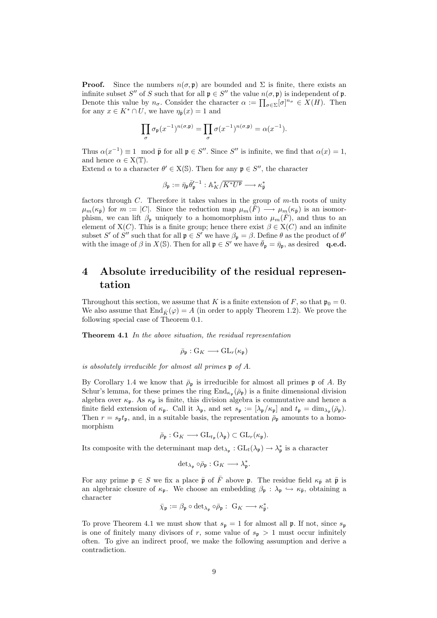**Proof.** Since the numbers  $n(\sigma, \mathfrak{p})$  are bounded and  $\Sigma$  is finite, there exists an infinite subset S'' of S such that for all  $\mathfrak{p} \in S''$  the value  $n(\sigma, \mathfrak{p})$  is independent of  $\mathfrak{p}$ . Denote this value by  $n_{\sigma}$ . Consider the character  $\alpha := \prod_{\sigma \in \Sigma} [\sigma]^{n_{\sigma}} \in X(H)$ . Then for any  $x \in K^* \cap U$ , we have  $\eta_{\overline{\mathfrak{n}}}(x) = 1$  and

$$
\prod_{\sigma}\sigma_{\mathfrak{p}}(x^{-1})^{n(\sigma,\mathfrak{p})}=\prod_{\sigma}\sigma(x^{-1})^{n(\sigma,\mathfrak{p})}=\alpha(x^{-1}).
$$

Thus  $\alpha(x^{-1}) \equiv 1 \mod \bar{\mathfrak{p}}$  for all  $\mathfrak{p} \in S''$ . Since S'' is infinite, we find that  $\alpha(x) = 1$ , and hence  $\alpha \in X(\mathbb{T})$ .

Extend  $\alpha$  to a character  $\theta' \in X(\mathbb{S})$ . Then for any  $\mathfrak{p} \in S''$ , the character

$$
\beta_{\mathfrak{p}}:=\bar{\eta}_{\mathfrak{p}}\bar{\theta}'^{{-}1}_{\mathfrak{p}}:\mathbb{A}_K^*/\overline{K^*U^{\mathfrak{p}}}\longrightarrow\kappa^*_{\overline{\mathfrak{p}}}
$$

factors through  $C$ . Therefore it takes values in the group of  $m$ -th roots of unity  $\mu_m(\kappa_{\bar{\mathfrak{p}}})$  for  $m := |C|$ . Since the reduction map  $\mu_m(\bar{F}) \longrightarrow \mu_m(\kappa_{\bar{\mathfrak{p}}})$  is an isomorphism, we can lift  $\beta_{p}$  uniquely to a homomorphism into  $\mu_{m}(\bar{F})$ , and thus to an element of  $X(C)$ . This is a finite group; hence there exist  $\beta \in X(C)$  and an infinite subset S' of S'' such that for all  $\mathfrak{p} \in S'$  we have  $\beta_{\mathfrak{p}} = \beta$ . Define  $\theta$  as the product of  $\theta'$ with the image of  $\beta$  in  $X(\mathbb{S})$ . Then for all  $\mathfrak{p} \in S'$  we have  $\bar{\theta}_{\mathfrak{p}} = \bar{\eta}_{\mathfrak{p}}$ , as desired q.e.d.

# 4 Absolute irreducibility of the residual representation

Throughout this section, we assume that K is a finite extension of F, so that  $\mathfrak{p}_0 = 0$ . We also assume that  $\text{End}_{\overline{K}}(\varphi) = A$  (in order to apply Theorem 1.2). We prove the following special case of Theorem 0.1.

Theorem 4.1 In the above situation, the residual representation

$$
\bar{\rho}_{\mathfrak{p}}:G_K\longrightarrow GL_r(\kappa_{\mathfrak{p}})
$$

is absolutely irreducible for almost all primes p of A.

By Corollary 1.4 we know that  $\bar{\rho}_{p}$  is irreducible for almost all primes p of A. By Schur's lemma, for these primes the ring  $\text{End}_{\kappa_{\mathfrak{p}}}(\bar{\rho}_{\mathfrak{p}})$  is a finite dimensional division algebra over  $\kappa_{\mathfrak{p}}$ . As  $\kappa_{\mathfrak{p}}$  is finite, this division algebra is commutative and hence a finite field extension of  $\kappa_p$ . Call it  $\lambda_p$ , and set  $s_p := [\lambda_p/\kappa_p]$  and  $t_p = \dim_{\lambda_p}(\bar{\rho}_p)$ . Then  $r = s_p t_p$ , and, in a suitable basis, the representation  $\bar{\rho}_p$  amounts to a homomorphism

$$
\bar{\rho}_{\mathfrak{p}}: \mathrm{G}_K \longrightarrow \mathrm{GL}_{t_{\mathfrak{p}}}(\lambda_{\mathfrak{p}}) \subset \mathrm{GL}_r(\kappa_{\mathfrak{p}}).
$$

Its composite with the determinant map  $\det_{\lambda_p}: GL_t(\lambda_p) \to \lambda_p^*$  is a character

$$
\text{det}_{\lambda_{\mathfrak{p}}}\circ \bar{\rho}_{\mathfrak{p}}: \mathbf{G}_K \longrightarrow \lambda_{\mathfrak{p}}^*.
$$

For any prime  $\mathfrak{p} \in S$  we fix a place  $\bar{\mathfrak{p}}$  of  $\bar{F}$  above  $\mathfrak{p}$ . The residue field  $\kappa_{\bar{\mathfrak{p}}}$  at  $\bar{\mathfrak{p}}$  is an algebraic closure of  $\kappa_{\mathfrak{p}}$ . We choose an embedding  $\beta_{\mathfrak{p}} : \lambda_{\mathfrak{p}} \hookrightarrow \kappa_{\bar{\mathfrak{p}}}$ , obtaining a character

$$
\bar{\chi}_{\mathfrak{p}} := \beta_{\mathfrak{p}} \circ \det_{\lambda_{\mathfrak{p}}} \circ \bar{\rho}_{\mathfrak{p}} : G_K \longrightarrow \kappa_{\bar{\mathfrak{p}}}^*.
$$

To prove Theorem 4.1 we must show that  $s_p = 1$  for almost all p. If not, since  $s_p$ is one of finitely many divisors of r, some value of  $s_p > 1$  must occur infinitely often. To give an indirect proof, we make the following assumption and derive a contradiction.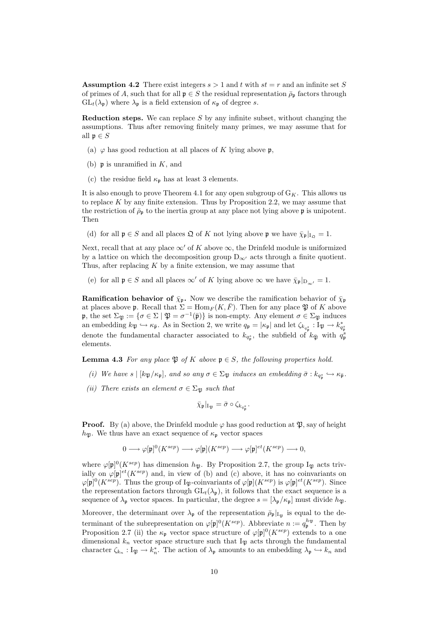**Assumption 4.2** There exist integers  $s > 1$  and t with  $st = r$  and an infinite set S of primes of A, such that for all  $\mathfrak{p} \in S$  the residual representation  $\bar{\rho}_{\mathfrak{p}}$  factors through  $GL_t(\lambda_{\mathfrak{p}})$  where  $\lambda_{\mathfrak{p}}$  is a field extension of  $\kappa_{\mathfrak{p}}$  of degree s.

**Reduction steps.** We can replace  $S$  by any infinite subset, without changing the assumptions. Thus after removing finitely many primes, we may assume that for all  $\mathfrak{p} \in S$ 

- (a)  $\varphi$  has good reduction at all places of K lying above p,
- (b)  $\mathfrak p$  is unramified in K, and
- (c) the residue field  $\kappa_{\mathfrak{p}}$  has at least 3 elements.

It is also enough to prove Theorem 4.1 for any open subgroup of  $G_K$ . This allows us to replace  $K$  by any finite extension. Thus by Proposition 2.2, we may assume that the restriction of  $\bar{\rho}_{\mathfrak{p}}$  to the inertia group at any place not lying above  $\mathfrak{p}$  is unipotent. Then

(d) for all  $\mathfrak{p} \in S$  and all places  $\mathfrak{Q}$  of K not lying above  $\mathfrak{p}$  we have  $\bar{\chi}_{\mathfrak{p}}|_{I_{\Omega}} = 1$ .

Next, recall that at any place  $\infty'$  of K above  $\infty$ , the Drinfeld module is uniformized by a lattice on which the decomposition group  $D_{\infty'}$  acts through a finite quotient. Thus, after replacing  $K$  by a finite extension, we may assume that

(e) for all  $\mathfrak{p} \in S$  and all places  $\infty'$  of K lying above  $\infty$  we have  $\bar{\chi}_{\mathfrak{p}}|_{D_{\infty'}} = 1$ .

**Ramification behavior of**  $\bar{\chi}_{\mathfrak{p}}$ . Now we describe the ramification behavior of  $\bar{\chi}_{\mathfrak{p}}$ at places above **p**. Recall that  $\Sigma = \text{Hom}_F(K, \overline{F})$ . Then for any place  $\mathfrak{P}$  of K above  $\mathfrak{p}$ , the set  $\Sigma_{\mathfrak{P}} := \{ \sigma \in \Sigma \mid \mathfrak{P} = \sigma^{-1}(\bar{\mathfrak{p}}) \}$  is non-empty. Any element  $\sigma \in \Sigma_{\mathfrak{P}}$  induces an embedding  $k_{\mathfrak{P}} \hookrightarrow \kappa_{\bar{\mathfrak{p}}}$ . As in Section 2, we write  $q_{\mathfrak{p}} = |\kappa_{\mathfrak{p}}|$  and let  $\zeta_{k_{q_{\mathfrak{p}}^s}} : I_{\mathfrak{P}} \to k_{q_{\mathfrak{p}}^s}^*$ denote the fundamental character associated to  $k_{q_{\mathfrak{p}}}$ , the subfield of  $k_{\bar{\mathfrak{P}}}$  with  $q_{\mathfrak{p}}^s$ elements.

**Lemma 4.3** For any place  $\mathfrak{P}$  of K above  $\mathfrak{p} \in S$ , the following properties hold.

- (i) We have  $s \mid [k_{\mathfrak{P}}/\kappa_{\mathfrak{p}}]$ , and so any  $\sigma \in \Sigma_{\mathfrak{P}}$  induces an embedding  $\bar{\sigma} : k_{q_{\mathfrak{p}}} \hookrightarrow \kappa_{\bar{\mathfrak{p}}}$ .
- (ii) There exists an element  $\sigma \in \Sigma_{\mathfrak{P}}$  such that

$$
\bar{\chi}_{\mathfrak{p}}|_{\mathrm{I}_{\mathfrak{P}}}=\bar{\sigma}\circ\zeta_{k_{q_{\mathfrak{p}}^{s}}}.
$$

**Proof.** By (a) above, the Drinfeld module  $\varphi$  has good reduction at  $\mathfrak{P}$ , say of height  $h_{\mathfrak{P}}$ . We thus have an exact sequence of  $\kappa_{\mathfrak{p}}$  vector spaces

$$
0\longrightarrow \varphi[\mathfrak{p}]^0(K^{sep})\longrightarrow \varphi[\mathfrak{p}](K^{sep})\longrightarrow \varphi[\mathfrak{p}]^{et}(K^{sep})\longrightarrow 0,
$$

where  $\varphi[\mathfrak{p}]^0(K^{sep})$  has dimension  $h_{\mathfrak{P}}$ . By Proposition 2.7, the group  $I_{\mathfrak{P}}$  acts trivially on  $\varphi[\mathfrak{p}]^{et}(K^{sep})$  and, in view of (b) and (c) above, it has no coinvariants on  $\varphi[\mathfrak{p}]^0(K^{sep})$ . Thus the group of I<sub>P</sub>-coinvariants of  $\varphi[\mathfrak{p}](K^{sep})$  is  $\varphi[\mathfrak{p}]^{et}(K^{sep})$ . Since the representation factors through  $GL_t(\lambda_p)$ , it follows that the exact sequence is a sequence of  $\lambda_p$  vector spaces. In particular, the degree  $s = [\lambda_p/\kappa_p]$  must divide  $h_{\mathfrak{P}}$ .

Moreover, the determinant over  $\lambda_{\mathfrak{p}}$  of the representation  $\bar{\rho}_{\mathfrak{p}}|_{I_{\mathfrak{P}}}$  is equal to the determinant of the subrepresentation on  $\varphi[\mathfrak{p}]^0(K^{sep})$ . Abbreviate  $n := q_{\mathfrak{p}}^{h_{\mathfrak{P}}}$ . Then by Proposition 2.7 (ii) the  $\kappa_{\mathfrak{p}}$  vector space structure of  $\varphi[\mathfrak{p}]^0(K^{sep})$  extends to a one dimensional  $k_n$  vector space structure such that  $I_{\mathfrak{P}}$  acts through the fundamental character  $\zeta_{k_n} : I_{\mathfrak{P}} \to k_n^*$ . The action of  $\lambda_{\mathfrak{p}}$  amounts to an embedding  $\lambda_{\mathfrak{p}} \hookrightarrow k_n$  and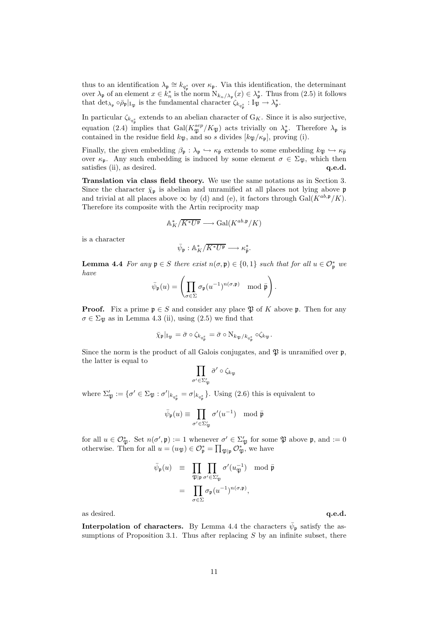thus to an identification  $\lambda_{\mathfrak{p}} \cong k_{q_{\mathfrak{p}}^s}$  over  $\kappa_{\mathfrak{p}}$ . Via this identification, the determinant over  $\lambda_{\mathfrak{p}}$  of an element  $x \in k_n^*$  is the norm  $N_{k_n/\lambda_{\mathfrak{p}}}(x) \in \lambda_{\mathfrak{p}}^*$ . Thus from  $(2.5)$  it follows that  $\det_{\lambda_p} \circ \bar{\rho}_p|_{I_{\mathfrak{P}}}$  is the fundamental character  $\zeta_{k_{q_p^s}} : I_{\mathfrak{P}} \to \lambda_p^*$ .

In particular  $\zeta_{k_{q_s}^s}$  extends to an abelian character of  $G_K$ . Since it is also surjective, equation (2.4) implies that  $Gal(K_{\mathfrak{P}}^{sep}/K_{\mathfrak{P}})$  acts trivially on  $\lambda_{\mathfrak{p}}^*$ . Therefore  $\lambda_{\mathfrak{p}}$  is contained in the residue field  $k_{\mathfrak{P}}$ , and so s divides  $[k_{\mathfrak{P}}/\kappa_{\mathfrak{p}}]$ , proving (i).

Finally, the given embedding  $\beta_{\mathfrak{p}} : \lambda_{\mathfrak{p}} \hookrightarrow \kappa_{\bar{\mathfrak{p}}}$  extends to some embedding  $k_{\mathfrak{P}} \hookrightarrow \kappa_{\bar{\mathfrak{p}}}$ over  $\kappa_p$ . Any such embedding is induced by some element  $\sigma \in \Sigma_{\mathfrak{B}}$ , which then satisfies (ii), as desired. q.e.d.

Translation via class field theory. We use the same notations as in Section 3. Since the character  $\bar{\chi}_{\mathfrak{p}}$  is abelian and unramified at all places not lying above  $\mathfrak{p}$ and trivial at all places above  $\infty$  by (d) and (e), it factors through Gal( $K^{ab,\mathfrak{p}}/K$ ). Therefore its composite with the Artin reciprocity map

$$
\mathbb{A}_K^* / \overline{K^* U^{\mathfrak{p}}} \longrightarrow \text{Gal}(K^{ab, \mathfrak{p}} / K)
$$

is a character

$$
\bar{\psi}_{\mathfrak{p}}: \mathbb{A}_K^*/\overline{K^*U^{\mathfrak{p}}} \longrightarrow \kappa_{\bar{\mathfrak{p}}}^*.
$$

**Lemma 4.4** For any  $\mathfrak{p} \in S$  there exist  $n(\sigma, \mathfrak{p}) \in \{0, 1\}$  such that for all  $u \in \mathcal{O}_{\mathfrak{p}}^*$  we have

$$
\bar{\psi}_{\mathfrak{p}}(u) = \left( \prod_{\sigma \in \Sigma} \sigma_{\mathfrak{p}}(u^{-1})^{n(\sigma, \mathfrak{p})} \mod \bar{\mathfrak{p}} \right).
$$

**Proof.** Fix a prime  $\mathfrak{p} \in S$  and consider any place  $\mathfrak{P}$  of K above  $\mathfrak{p}$ . Then for any  $\sigma \in \Sigma_{\mathfrak{B}}$  as in Lemma 4.3 (ii), using (2.5) we find that

$$
\bar{\chi}_{\mathfrak{p}}|_{\mathrm{I}_{\mathfrak{P}}} = \bar{\sigma} \circ \zeta_{k_{q_{\mathfrak{p}}} s} = \bar{\sigma} \circ \mathrm{N}_{k_{\mathfrak{P}}/k_{q_{\mathfrak{p}}} s} \circ \zeta_{k_{\mathfrak{P}}}.
$$

Since the norm is the product of all Galois conjugates, and  $\mathfrak{B}$  is unramified over  $\mathfrak{p}$ , the latter is equal to

$$
\prod_{\sigma'\in \Sigma_{\mathfrak{P}}'}\bar{\sigma}'\circ \zeta_{k_{\mathfrak{P}}}
$$

where  $\Sigma'_{\mathfrak{P}} := \{ \sigma' \in \Sigma_{\mathfrak{P}} : \sigma' |_{k_{q_p^s}} = \sigma |_{k_{q_p^s}} \}.$  Using (2.6) this is equivalent to

$$
\bar{\psi}_{\mathfrak{p}}(u) \equiv \prod_{\sigma' \in \Sigma_{\mathfrak{P}}'} \sigma'(u^{-1}) \mod \bar{\mathfrak{p}}
$$

for all  $u \in \mathcal{O}_{\mathfrak{P}}^*$ . Set  $n(\sigma', \mathfrak{p}) := 1$  whenever  $\sigma' \in \Sigma_{\mathfrak{P}}'$  for some  $\mathfrak{P}$  above  $\mathfrak{p}$ , and  $:= 0$ otherwise. Then for all  $u = (u_{\mathfrak{P}}) \in \mathcal{O}_{\mathfrak{p}}^* = \prod_{\mathfrak{P} | \mathfrak{p}} \mathcal{O}_{\mathfrak{P}}^*$ , we have

$$
\bar{\psi}_{\mathfrak{p}}(u) \equiv \prod_{\mathfrak{P}|\mathfrak{p}} \prod_{\sigma' \in \Sigma_{\mathfrak{P}}'} \sigma'(u_{\mathfrak{P}}^{-1}) \mod \bar{\mathfrak{p}}
$$
\n
$$
= \prod_{\sigma \in \Sigma} \sigma_{\mathfrak{p}}(u^{-1})^{n(\sigma, \mathfrak{p})},
$$

as desired.  $q.e.d.$ 

Interpolation of characters. By Lemma 4.4 the characters  $\bar{\psi}_{\mathfrak{p}}$  satisfy the assumptions of Proposition 3.1. Thus after replacing  $S$  by an infinite subset, there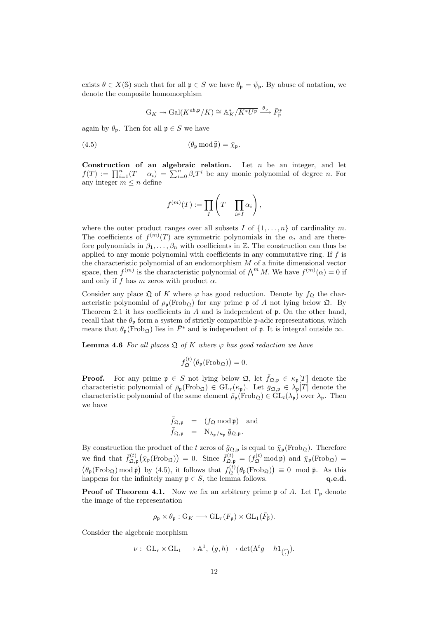exists  $\theta \in X(\mathbb{S})$  such that for all  $\mathfrak{p} \in S$  we have  $\bar{\theta}_{\mathfrak{p}} = \bar{\psi}_{\mathfrak{p}}$ . By abuse of notation, we denote the composite homomorphism

$$
\mathrm{G}_K\twoheadrightarrow \mathrm{Gal}(K^{ab,\mathfrak{p}}/K)\cong \mathbb A_K^*/\overline{K^*U^{\mathfrak{p}}}\stackrel{\theta_{\mathfrak{p}}}{\longrightarrow}\bar F^*_{\overline{\mathfrak{p}}}
$$

again by  $\theta_{\mathfrak{p}}$ . Then for all  $\mathfrak{p} \in S$  we have

(4.5) 
$$
(\theta_{\mathfrak{p}} \bmod \bar{\mathfrak{p}}) = \bar{\chi}_{\mathfrak{p}}.
$$

Construction of an algebraic relation. Let  $n$  be an integer, and let  $f(T) := \prod_{i=1}^n (T - \alpha_i) = \sum_{i=0}^n \beta_i T^i$  be any monic polynomial of degree *n*. For any integer  $m \leq n$  define

$$
f^{(m)}(T) := \prod_{I} \left( T - \prod_{i \in I} \alpha_i \right),
$$

where the outer product ranges over all subsets I of  $\{1,\ldots,n\}$  of cardinality m. The coefficients of  $f^{(m)}(T)$  are symmetric polynomials in the  $\alpha_i$  and are therefore polynomials in  $\beta_1, \ldots, \beta_n$  with coefficients in Z. The construction can thus be applied to any monic polynomial with coefficients in any commutative ring. If  $f$  is the characteristic polynomial of an endomorphism  $M$  of a finite dimensional vector space, then  $f^{(m)}$  is the characteristic polynomial of  $\bigwedge^m M$ . We have  $f^{(m)}(\alpha) = 0$  if and only if f has m zeros with product  $\alpha$ .

Consider any place  $\mathfrak Q$  of K where  $\varphi$  has good reduction. Denote by  $f_{\mathfrak Q}$  the characteristic polynomial of  $\rho_{p}(\text{Frob}_{\mathfrak{Q}})$  for any prime p of A not lying below  $\mathfrak{Q}$ . By Theorem 2.1 it has coefficients in A and is independent of  $\mathfrak p$ . On the other hand, recall that the  $\theta_{p}$  form a system of strictly compatible p-adic representations, which means that  $\theta_{\mathfrak{p}}(\text{Frob}_{\mathfrak{Q}})$  lies in  $\bar{F}^*$  and is independent of  $\mathfrak{p}$ . It is integral outside  $\infty$ .

**Lemma 4.6** For all places  $\mathfrak{Q}$  of K where  $\varphi$  has good reduction we have

$$
f_{\mathfrak{Q}}^{(t)}(\theta_{\mathfrak{p}}(\mathrm{Frob}_{\mathfrak{Q}}))=0.
$$

**Proof.** For any prime  $\mathfrak{p} \in S$  not lying below  $\mathfrak{Q}$ , let  $\bar{f}_{\mathfrak{Q},\mathfrak{p}} \in \kappa_{\mathfrak{p}}[T]$  denote the characteristic polynomial of  $\bar{\rho}_{\mathfrak{p}}(\text{Frob}_{\mathfrak{Q}}) \in GL_r(\kappa_{\mathfrak{p}})$ . Let  $\bar{g}_{\mathfrak{Q},\mathfrak{p}} \in \lambda_{\mathfrak{p}}[T]$  denote the characteristic polynomial of the same element  $\bar{\rho}_{\mathfrak{p}}(\text{Frob}_{\mathfrak{Q}}) \in GL_t(\lambda_{\mathfrak{p}})$  over  $\lambda_{\mathfrak{p}}$ . Then we have

$$
\bar{f}_{\mathfrak{Q}, \mathfrak{p}} = (f_{\mathfrak{Q}} \bmod \mathfrak{p}) \text{ and} \bar{f}_{\mathfrak{Q}, \mathfrak{p}} = N_{\lambda_{\mathfrak{p}}/\kappa_{\mathfrak{p}}} \bar{g}_{\mathfrak{Q}, \mathfrak{p}}.
$$

By construction the product of the t zeros of  $\bar{g}_{\mathfrak{Q},\mathfrak{p}}$  is equal to  $\bar{\chi}_{\mathfrak{p}}(\text{Frob}_{\mathfrak{Q}})$ . Therefore we find that  $\bar{f}_{\Omega,1}^{(t)}$  $\overline{\chi}_{\mathfrak{Q},\mathfrak{p}}^{(t)}(\overline{\chi}_{\mathfrak{p}}(\text{Frob}_{\mathfrak{Q}})) = 0.$  Since  $\overline{f}_{\mathfrak{Q},\mathfrak{p}}^{(t)} = (f_{\mathfrak{Q}}^{(t)} \text{ mod } \mathfrak{p})$  and  $\overline{\chi}_{\mathfrak{p}}(\text{Frob}_{\mathfrak{Q}}) =$  $(\theta_{\mathfrak{p}}(\text{Frob}_{\mathfrak{Q}}) \text{ mod } \bar{\mathfrak{p}})$  by (4.5), it follows that  $f_{\mathfrak{Q}}^{(t)}$  $\phi_{\mathfrak{Q}}^{(t)}(\theta_{\mathfrak{p}}(\text{Frob}_{\mathfrak{Q}})) \equiv 0 \mod \bar{\mathfrak{p}}.$  As this happens for the infinitely many  $\mathfrak{p} \in S$ , the lemma follows. q.e.d.

**Proof of Theorem 4.1.** Now we fix an arbitrary prime  $\mathfrak{p}$  of A. Let  $\Gamma_{\mathfrak{p}}$  denote the image of the representation

$$
\rho_{\mathfrak{p}} \times \theta_{\mathfrak{p}} : G_K \longrightarrow GL_r(F_{\mathfrak{p}}) \times GL_1(\overline{F}_{\overline{\mathfrak{p}}}).
$$

Consider the algebraic morphism

$$
\nu: \ \mathrm{GL}_r \times \mathrm{GL}_1 \longrightarrow \mathbb{A}^1, \ (g,h) \mapsto \det(\Lambda^t g - h1_{\binom{r}{t}}).
$$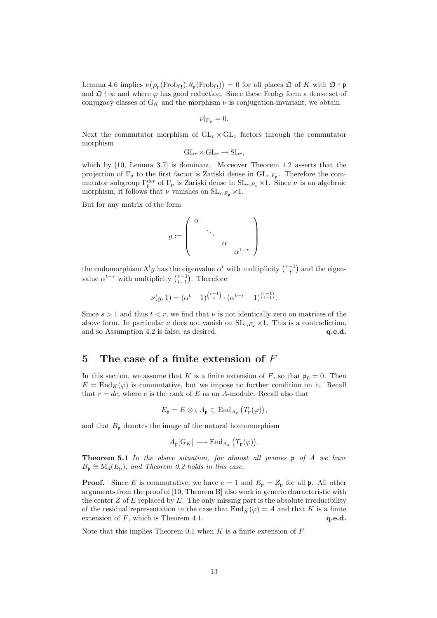Lemma 4.6 implies  $\nu(\rho_{\mathfrak{p}}(\text{Frob}_{\mathfrak{Q}}), \theta_{\mathfrak{p}}(\text{Frob}_{\mathfrak{Q}})) = 0$  for all places  $\mathfrak{Q}$  of K with  $\mathfrak{Q} \nmid \mathfrak{p}$ and  $\mathfrak{Q} \nmid \infty$  and where  $\varphi$  has good reduction. Since these Frob<sub>Q</sub> form a dense set of conjugacy classes of  $G_K$  and the morphism  $\nu$  is conjugation-invariant, we obtain

$$
\nu|_{\Gamma_{\mathfrak{p}}}=0.
$$

Next the commutator morphism of  $GL_r \times GL_1$  factors through the commutator morphism

$$
GL_r \times GL_r \to SL_r,
$$

which by [10, Lemma 3.7] is dominant. Moreover Theorem 1.2 asserts that the projection of  $\Gamma_{\mathfrak{p}}$  to the first factor is Zariski dense in  $\mathrm{GL}_{r,F_{\mathfrak{p}}}$ . Therefore the commutator subgroup  $\Gamma_{\mathfrak{p}}^{\text{der}}$  of  $\Gamma_{\mathfrak{p}}$  is Zariski dense in  $SL_{r,F_{\mathfrak{p}}}\times 1$ . Since  $\nu$  is an algebraic morphism, it follows that  $\nu$  vanishes on  $SL_{r,F_p} \times 1$ .

But for any matrix of the form

$$
g:=\left(\begin{array}{cccc} \alpha&&&\\ &\ddots&&\\ &&\alpha&\\ &&&\alpha^{1-r}\end{array}\right)
$$

the endomorphism  $\Lambda^t g$  has the eigenvalue  $\alpha^t$  with multiplicity  $\binom{r-1}{t}$  and the eigenvalue  $\alpha^{t-r}$  with multiplicity  $\binom{r-1}{t-1}$ . Therefore

$$
\nu(g, 1) = (\alpha^t - 1)^{\binom{r-1}{t}} \cdot (\alpha^{t-r} - 1)^{\binom{r-1}{t-1}}.
$$

Since  $s > 1$  and thus  $t < r$ , we find that  $\nu$  is not identically zero on matrices of the above form. In particular  $\nu$  does not vanish on  $SL_{r,F_p} \times 1$ . This is a contradiction, and so Assumption 4.2 is false, as desired.  $q.e.d.$ 

# 5 The case of a finite extension of  $F$

In this section, we assume that K is a finite extension of F, so that  $\mathfrak{p}_0 = 0$ . Then  $E = \text{End}_{K}(\varphi)$  is commutative, but we impose no further condition on it. Recall that  $r = dc$ , where c is the rank of E as an A-module. Recall also that

$$
E_{\mathfrak{p}}=E\otimes_A A_{\mathfrak{p}}\subset\mathrm{End}_{A_{\mathfrak{p}}}\left(T_{\mathfrak{p}}(\varphi)\right),
$$

and that  $B_{\mathfrak{p}}$  denotes the image of the natural homomorphism

$$
A_{\mathfrak{p}}[G_K] \longrightarrow \text{End}_{A_{\mathfrak{p}}}\left(T_{\mathfrak{p}}(\varphi)\right).
$$

Theorem 5.1 In the above situation, for almost all primes p of A we have  $B_{\mathfrak{p}} \cong M_d(E_{\mathfrak{p}})$ , and Theorem 0.2 holds in this case.

**Proof.** Since E is commutative, we have  $e = 1$  and  $E_p = Z_p$  for all p. All other arguments from the proof of [10, Theorem B] also work in generic characteristic with the center  $Z$  of  $E$  replaced by  $E$ . The only missing part is the absolute irreducibility of the residual representation in the case that  $\text{End}_{\bar{K}}(\varphi) = A$  and that K is a finite extension of  $F$ , which is Theorem 4.1.  $q.e.d.$ 

Note that this implies Theorem 0.1 when  $K$  is a finite extension of  $F$ .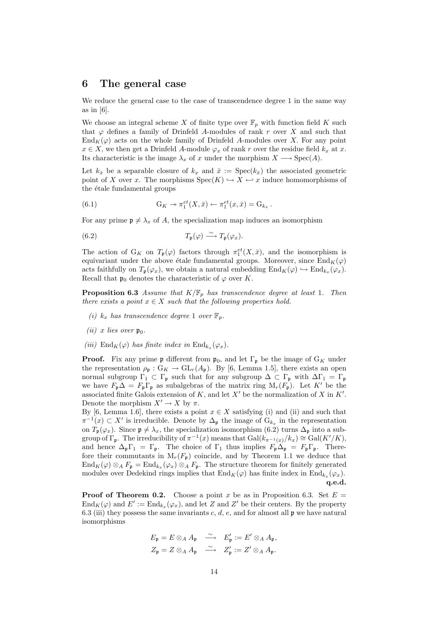## 6 The general case

We reduce the general case to the case of transcendence degree 1 in the same way as in  $[6]$ .

We choose an integral scheme X of finite type over  $\mathbb{F}_p$  with function field K such that  $\varphi$  defines a family of Drinfeld A-modules of rank r over X and such that  $\text{End}_K(\varphi)$  acts on the whole family of Drinfeld A-modules over X. For any point  $x \in X$ , we then get a Drinfeld A-module  $\varphi_x$  of rank r over the residue field  $k_x$  at x. Its characteristic is the image  $\lambda_x$  of x under the morphism  $X \longrightarrow \text{Spec}(A)$ .

Let  $k_{\bar{x}}$  be a separable closure of  $k_x$  and  $\bar{x} := \text{Spec}(k_{\bar{x}})$  the associated geometric point of X over x. The morphisms  $Spec(K) \hookrightarrow X \hookleftarrow x$  induce homomorphisms of the  $\acute{e}$ tale fundamental groups

.

(6.1) 
$$
G_K \twoheadrightarrow \pi_1^{et}(X,\bar{x}) \leftarrow \pi_1^{et}(x,\bar{x}) = G_{k_x}
$$

For any prime  $\mathfrak{p} \neq \lambda_x$  of A, the specialization map induces an isomorphism

(6.2) 
$$
T_{\mathfrak{p}}(\varphi) \stackrel{\sim}{\longrightarrow} T_{\mathfrak{p}}(\varphi_x).
$$

The action of  $G_K$  on  $T_p(\varphi)$  factors through  $\pi_1^{et}(X,\bar{x})$ , and the isomorphism is equivariant under the above étale fundamental groups. Moreover, since  $\text{End}_K(\varphi)$ acts faithfully on  $T_{\mathfrak{p}}(\varphi_x)$ , we obtain a natural embedding  $\text{End}_K(\varphi) \hookrightarrow \text{End}_{k_x}(\varphi_x)$ . Recall that  $\mathfrak{p}_0$  denotes the characteristic of  $\varphi$  over K.

**Proposition 6.3** Assume that  $K/\mathbb{F}_p$  has transcendence degree at least 1. Then there exists a point  $x \in X$  such that the following properties hold.

- (i)  $k_x$  has transcendence degree 1 over  $\mathbb{F}_p$ .
- (*ii*) x lies over  $\mathfrak{p}_0$ .
- (iii)  $\text{End}_K(\varphi)$  has finite index in  $\text{End}_{k_x}(\varphi_x)$ .

**Proof.** Fix any prime p different from  $\mathfrak{p}_0$ , and let  $\Gamma_{\mathfrak{p}}$  be the image of  $G_K$  under the representation  $\rho_{\mathfrak{p}}: G_K \to GL_r(A_{\mathfrak{p}})$ . By [6, Lemma 1.5], there exists an open normal subgroup  $\Gamma_1 \subset \Gamma_{\mathfrak{p}}$  such that for any subgroup  $\Delta \subset \Gamma_{\mathfrak{p}}$  with  $\Delta\Gamma_1 = \Gamma_{\mathfrak{p}}$ we have  $F_p \Delta = F_p \Gamma_p$  as subalgebras of the matrix ring  $M_r(F_p)$ . Let K' be the associated finite Galois extension of  $K$ , and let  $X'$  be the normalization of  $X$  in  $K'$ . Denote the morphism  $X' \to X$  by  $\pi$ .

By [6, Lemma 1.6], there exists a point  $x \in X$  satisfying (i) and (ii) and such that  $\pi^{-1}(x) \subset X'$  is irreducible. Denote by  $\Delta_{\mathfrak{p}}$  the image of  $G_{k_x}$  in the representation on  $T_p(\varphi_x)$ . Since  $\mathfrak{p} \neq \lambda_x$ , the specialization isomorphism (6.2) turns  $\Delta_p$  into a subgroup of  $\Gamma_{\mathfrak{p}}$ . The irreducibility of  $\pi^{-1}(x)$  means that  $Gal(k_{\pi^{-1}(x)}/k_x) \cong Gal(K'/K)$ , and hence  $\Delta_{\mathfrak{p}}\Gamma_1 = \Gamma_{\mathfrak{p}}$ . The choice of  $\Gamma_1$  thus implies  $F_{\mathfrak{p}}\Delta_{\mathfrak{p}} = F_{\mathfrak{p}}\Gamma_{\mathfrak{p}}$ . Therefore their commutants in  $M_r(F_p)$  coincide, and by Theorem 1.1 we deduce that  $\text{End}_K(\varphi) \otimes_A F_{\mathfrak{p}} = \text{End}_{k_x}(\varphi_x) \otimes_A F_{\mathfrak{p}}$ . The structure theorem for finitely generated modules over Dedekind rings implies that  $\text{End}_K(\varphi)$  has finite index in  $\text{End}_{k_x}(\varphi_x)$ . q.e.d.

**Proof of Theorem 0.2.** Choose a point x be as in Proposition 6.3. Set  $E =$  $\text{End}_K(\varphi)$  and  $E' := \text{End}_{k_x}(\varphi_x)$ , and let Z and Z' be their centers. By the property 6.3 (iii) they possess the same invariants c, d, e, and for almost all  $\mathfrak p$  we have natural isomorphisms

$$
E_{\mathfrak{p}} = E \otimes_A A_{\mathfrak{p}} \xrightarrow{\sim} E'_{\mathfrak{p}} := E' \otimes_A A_{\mathfrak{p}},
$$
  

$$
Z_{\mathfrak{p}} = Z \otimes_A A_{\mathfrak{p}} \xrightarrow{\sim} Z'_{\mathfrak{p}} := Z' \otimes_A A_{\mathfrak{p}}.
$$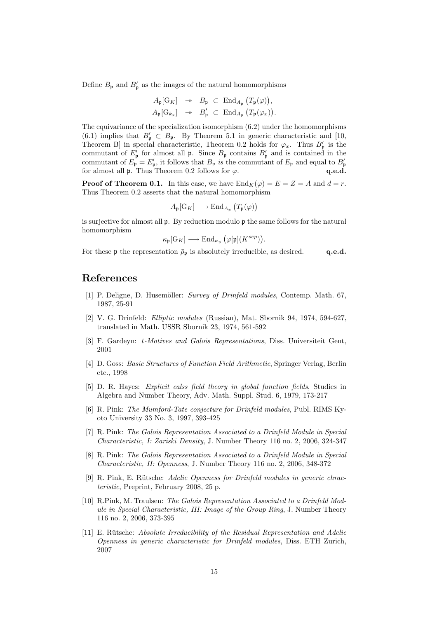Define  $B_{\mathfrak{p}}$  and  $B'_{\mathfrak{p}}$  as the images of the natural homomorphisms

$$
A_{\mathfrak{p}}[G_K] \rightarrow B_{\mathfrak{p}} \subset \text{End}_{A_{\mathfrak{p}}}(T_{\mathfrak{p}}(\varphi)),
$$
  

$$
A_{\mathfrak{p}}[G_{k_x}] \rightarrow B'_{\mathfrak{p}} \subset \text{End}_{A_{\mathfrak{p}}}(T_{\mathfrak{p}}(\varphi_x)).
$$

The equivariance of the specialization isomorphism (6.2) under the homomorphisms (6.1) implies that  $B'_\mathfrak{p} \subset B_\mathfrak{p}$ . By Theorem 5.1 in generic characteristic and [10, Theorem B in special characteristic, Theorem 0.2 holds for  $\varphi_x$ . Thus  $B'_p$  is the commutant of  $E'_{\mathfrak{p}}$  for almost all  $\mathfrak{p}$ . Since  $B_{\mathfrak{p}}$  contains  $B'_{\mathfrak{p}}$  and is contained in the commutant of  $E_{\mathfrak{p}} = E'_{\mathfrak{p}}$ , it follows that  $B_{\mathfrak{p}}$  is the commutant of  $E_{\mathfrak{p}}$  and equal to  $B'_{\mathfrak{p}}$ for almost all **p**. Thus Theorem 0.2 follows for  $\varphi$ . q.e.d.

**Proof of Theorem 0.1.** In this case, we have  $\text{End}_K(\varphi) = E = Z = A$  and  $d = r$ . Thus Theorem 0.2 asserts that the natural homomorphism

$$
A_{\mathfrak{p}}[G_K] \longrightarrow \text{End}_{A_{\mathfrak{p}}}\left(T_{\mathfrak{p}}(\varphi)\right)
$$

is surjective for almost all  $\mathfrak{p}$ . By reduction modulo  $\mathfrak{p}$  the same follows for the natural homomorphism

$$
\kappa_{\mathfrak{p}}[G_K] \longrightarrow \mathrm{End}_{\kappa_{\mathfrak{p}}}(\varphi[\mathfrak{p}](K^{sep})).
$$

For these p the representation  $\bar{\rho}_p$  is absolutely irreducible, as desired. q.e.d.

### References

- [1] P. Deligne, D. Husemöller: Survey of Drinfeld modules, Contemp. Math. 67, 1987, 25-91
- [2] V. G. Drinfeld: Elliptic modules (Russian), Mat. Sbornik 94, 1974, 594-627, translated in Math. USSR Sbornik 23, 1974, 561-592
- [3] F. Gardeyn: t-Motives and Galois Representations, Diss. Universiteit Gent, 2001
- [4] D. Goss: Basic Structures of Function Field Arithmetic, Springer Verlag, Berlin etc., 1998
- [5] D. R. Hayes: Explicit calss field theory in global function fields, Studies in Algebra and Number Theory, Adv. Math. Suppl. Stud. 6, 1979, 173-217
- [6] R. Pink: The Mumford-Tate conjecture for Drinfeld modules, Publ. RIMS Kyoto University 33 No. 3, 1997, 393-425
- [7] R. Pink: The Galois Representation Associated to a Drinfeld Module in Special Characteristic, I: Zariski Density, J. Number Theory 116 no. 2, 2006, 324-347
- [8] R. Pink: The Galois Representation Associated to a Drinfeld Module in Special Characteristic, II: Openness, J. Number Theory 116 no. 2, 2006, 348-372
- [9] R. Pink, E. Rütsche: Adelic Openness for Drinfeld modules in generic chracteristic, Preprint, February 2008, 25 p.
- [10] R.Pink, M. Traulsen: The Galois Representation Associated to a Drinfeld Module in Special Characteristic, III: Image of the Group Ring, J. Number Theory 116 no. 2, 2006, 373-395
- [11] E. Rütsche: Absolute Irreducibility of the Residual Representation and Adelic Openness in generic characteristic for Drinfeld modules, Diss. ETH Zurich, 2007